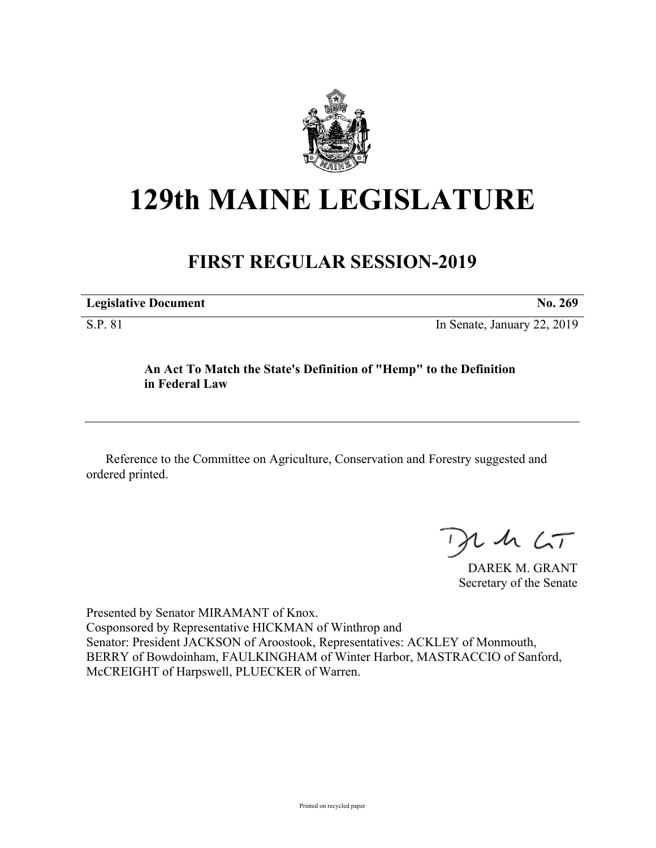

# **129th MAINE LEGISLATURE**

# **FIRST REGULAR SESSION-2019**

| <b>Legislative Document</b> | No. 269                     |
|-----------------------------|-----------------------------|
| S.P. 81                     | In Senate, January 22, 2019 |

## **An Act To Match the State's Definition of "Hemp" to the Definition in Federal Law**

Reference to the Committee on Agriculture, Conservation and Forestry suggested and ordered printed.

 $125$ 

DAREK M. GRANT Secretary of the Senate

Presented by Senator MIRAMANT of Knox. Cosponsored by Representative HICKMAN of Winthrop and Senator: President JACKSON of Aroostook, Representatives: ACKLEY of Monmouth, BERRY of Bowdoinham, FAULKINGHAM of Winter Harbor, MASTRACCIO of Sanford, McCREIGHT of Harpswell, PLUECKER of Warren.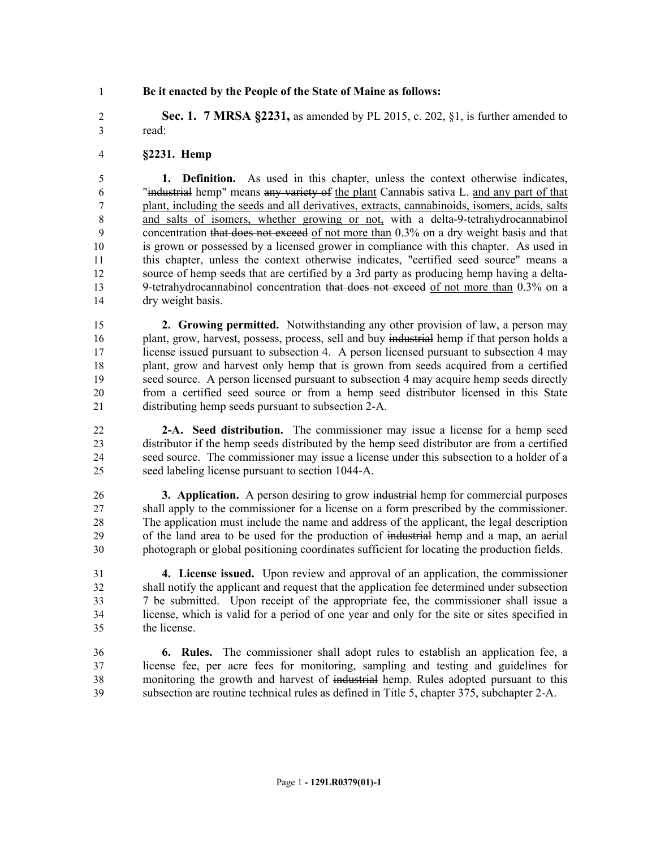### **Be it enacted by the People of the State of Maine as follows:**

 **Sec. 1. 7 MRSA §2231,** as amended by PL 2015, c. 202, §1, is further amended to read:

### **§2231. Hemp**

 **1. Definition.** As used in this chapter, unless the context otherwise indicates, "industrial hemp" means any variety of the plant Cannabis sativa L. and any part of that plant, including the seeds and all derivatives, extracts, cannabinoids, isomers, acids, salts and salts of isomers, whether growing or not, with a delta-9-tetrahydrocannabinol concentration that does not exceed of not more than 0.3% on a dry weight basis and that is grown or possessed by a licensed grower in compliance with this chapter. As used in this chapter, unless the context otherwise indicates, "certified seed source" means a source of hemp seeds that are certified by a 3rd party as producing hemp having a delta- 9-tetrahydrocannabinol concentration that does not exceed of not more than 0.3% on a dry weight basis.

 **2. Growing permitted.** Notwithstanding any other provision of law, a person may 16 plant, grow, harvest, possess, process, sell and buy industrial hemp if that person holds a 17 license issued pursuant to subsection 4. A person licensed pursuant to subsection 4 may plant, grow and harvest only hemp that is grown from seeds acquired from a certified seed source. A person licensed pursuant to subsection 4 may acquire hemp seeds directly from a certified seed source or from a hemp seed distributor licensed in this State distributing hemp seeds pursuant to subsection 2-A.

 **2-A. Seed distribution.** The commissioner may issue a license for a hemp seed distributor if the hemp seeds distributed by the hemp seed distributor are from a certified seed source. The commissioner may issue a license under this subsection to a holder of a seed labeling license pursuant to section 1044-A.

 **3. Application.** A person desiring to grow industrial hemp for commercial purposes shall apply to the commissioner for a license on a form prescribed by the commissioner. The application must include the name and address of the applicant, the legal description of the land area to be used for the production of industrial hemp and a map, an aerial photograph or global positioning coordinates sufficient for locating the production fields.

 **4. License issued.** Upon review and approval of an application, the commissioner shall notify the applicant and request that the application fee determined under subsection 7 be submitted. Upon receipt of the appropriate fee, the commissioner shall issue a license, which is valid for a period of one year and only for the site or sites specified in the license.

 **6. Rules.** The commissioner shall adopt rules to establish an application fee, a license fee, per acre fees for monitoring, sampling and testing and guidelines for monitoring the growth and harvest of industrial hemp. Rules adopted pursuant to this subsection are routine technical rules as defined in Title 5, chapter 375, subchapter 2-A.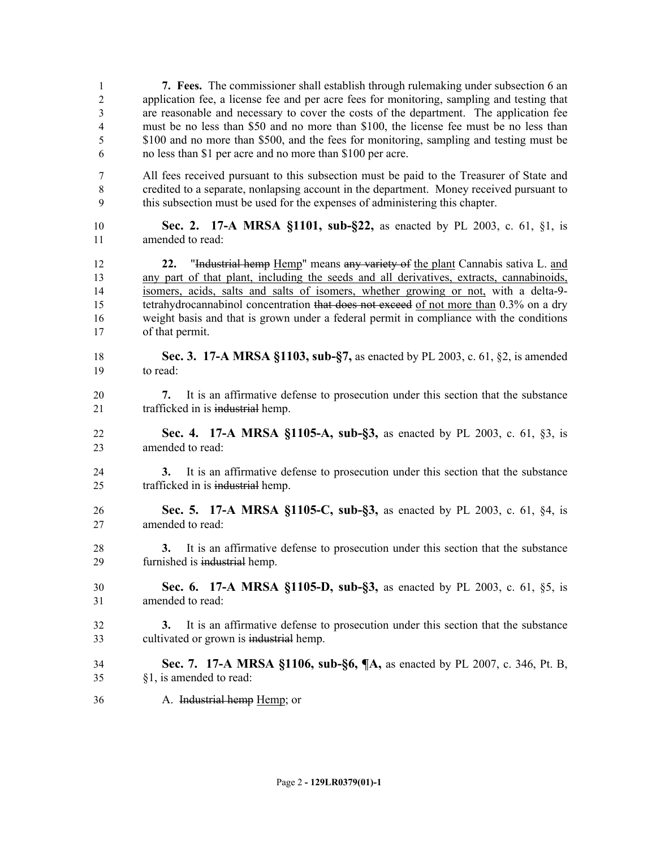| 1                                | 7. Fees. The commissioner shall establish through rulemaking under subsection 6 an                                                                                                                                                                                                                                                                                                                                                                                             |
|----------------------------------|--------------------------------------------------------------------------------------------------------------------------------------------------------------------------------------------------------------------------------------------------------------------------------------------------------------------------------------------------------------------------------------------------------------------------------------------------------------------------------|
| $\overline{2}$                   | application fee, a license fee and per acre fees for monitoring, sampling and testing that                                                                                                                                                                                                                                                                                                                                                                                     |
| 3                                | are reasonable and necessary to cover the costs of the department. The application fee                                                                                                                                                                                                                                                                                                                                                                                         |
| $\overline{4}$                   | must be no less than \$50 and no more than \$100, the license fee must be no less than                                                                                                                                                                                                                                                                                                                                                                                         |
| 5                                | \$100 and no more than \$500, and the fees for monitoring, sampling and testing must be                                                                                                                                                                                                                                                                                                                                                                                        |
| 6                                | no less than \$1 per acre and no more than \$100 per acre.                                                                                                                                                                                                                                                                                                                                                                                                                     |
| 7                                | All fees received pursuant to this subsection must be paid to the Treasurer of State and                                                                                                                                                                                                                                                                                                                                                                                       |
| $8\,$                            | credited to a separate, nonlapsing account in the department. Money received pursuant to                                                                                                                                                                                                                                                                                                                                                                                       |
| 9                                | this subsection must be used for the expenses of administering this chapter.                                                                                                                                                                                                                                                                                                                                                                                                   |
| 10                               | Sec. 2. 17-A MRSA §1101, sub-§22, as enacted by PL 2003, c. 61, §1, is                                                                                                                                                                                                                                                                                                                                                                                                         |
| 11                               | amended to read:                                                                                                                                                                                                                                                                                                                                                                                                                                                               |
| 12<br>13<br>14<br>15<br>16<br>17 | "Industrial hemp Hemp" means any variety of the plant Cannabis sativa L. and<br>22.<br>any part of that plant, including the seeds and all derivatives, extracts, cannabinoids,<br>isomers, acids, salts and salts of isomers, whether growing or not, with a delta-9-<br>tetrahydrocannabinol concentration that does not exceed of not more than 0.3% on a dry<br>weight basis and that is grown under a federal permit in compliance with the conditions<br>of that permit. |
| 18                               | Sec. 3. 17-A MRSA §1103, sub-§7, as enacted by PL 2003, c. 61, §2, is amended                                                                                                                                                                                                                                                                                                                                                                                                  |
| 19                               | to read:                                                                                                                                                                                                                                                                                                                                                                                                                                                                       |
| 20<br>21                         | It is an affirmative defense to prosecution under this section that the substance<br>7.<br>trafficked in is industrial hemp.                                                                                                                                                                                                                                                                                                                                                   |
| 22                               | Sec. 4. 17-A MRSA §1105-A, sub-§3, as enacted by PL 2003, c. 61, §3, is                                                                                                                                                                                                                                                                                                                                                                                                        |
| 23                               | amended to read:                                                                                                                                                                                                                                                                                                                                                                                                                                                               |
| 24<br>25                         | It is an affirmative defense to prosecution under this section that the substance<br>3.<br>trafficked in is industrial hemp.                                                                                                                                                                                                                                                                                                                                                   |
| 26                               | Sec. 5. 17-A MRSA §1105-C, sub-§3, as enacted by PL 2003, c. 61, §4, is                                                                                                                                                                                                                                                                                                                                                                                                        |
| 27                               | amended to read:                                                                                                                                                                                                                                                                                                                                                                                                                                                               |
| 28<br>29                         | It is an affirmative defense to prosecution under this section that the substance<br>3.<br>furnished is industrial hemp.                                                                                                                                                                                                                                                                                                                                                       |
| 30                               | <b>Sec. 6. 17-A MRSA §1105-D, sub-§3,</b> as enacted by PL 2003, c. 61, §5, is                                                                                                                                                                                                                                                                                                                                                                                                 |
| 31                               | amended to read:                                                                                                                                                                                                                                                                                                                                                                                                                                                               |
| 32<br>33                         | It is an affirmative defense to prosecution under this section that the substance<br>3.<br>cultivated or grown is industrial hemp.                                                                                                                                                                                                                                                                                                                                             |
| 34                               | <b>Sec. 7. 17-A MRSA §1106, sub-§6, ¶A, as enacted by PL 2007, c. 346, Pt. B,</b>                                                                                                                                                                                                                                                                                                                                                                                              |
| 35                               | §1, is amended to read:                                                                                                                                                                                                                                                                                                                                                                                                                                                        |
| 36                               | A. Industrial hemp Hemp; or                                                                                                                                                                                                                                                                                                                                                                                                                                                    |